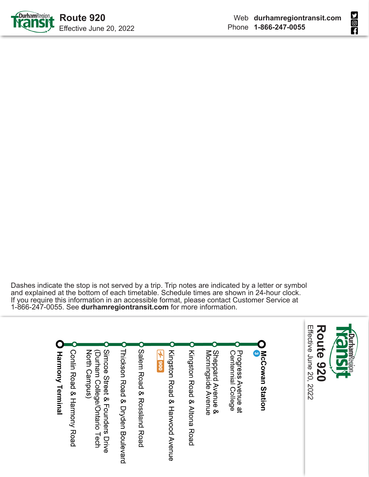



Dashes indicate the stop is not served by a trip. Trip notes are indicated by a letter or symbol and explained at the bottom of each timetable. Schedule times are shown in 24-hour clock. If you require this information in an accessible format, please contact Customer Service at 1-866-247-0055. See **durhamregiontransit.com** for more information.

Effective June 20, 2022 Effective June 20, 2022 **Route 920Route 920** O Salem Road & Rossland Road **McCowan Station** Conjin Road & Harmony Road North Campus) Simcoe Street & Founders Drive Sheppard Avenue &<br>Morningside Avenue **Harmony Terminal** (Durham College/Ontario Tech Thickson Road & Dryden Boulevard Kingston Road & Harwood Avenue Kingston Road & Altona Road Centennial College Progress Avenue at  $2006$   $7$